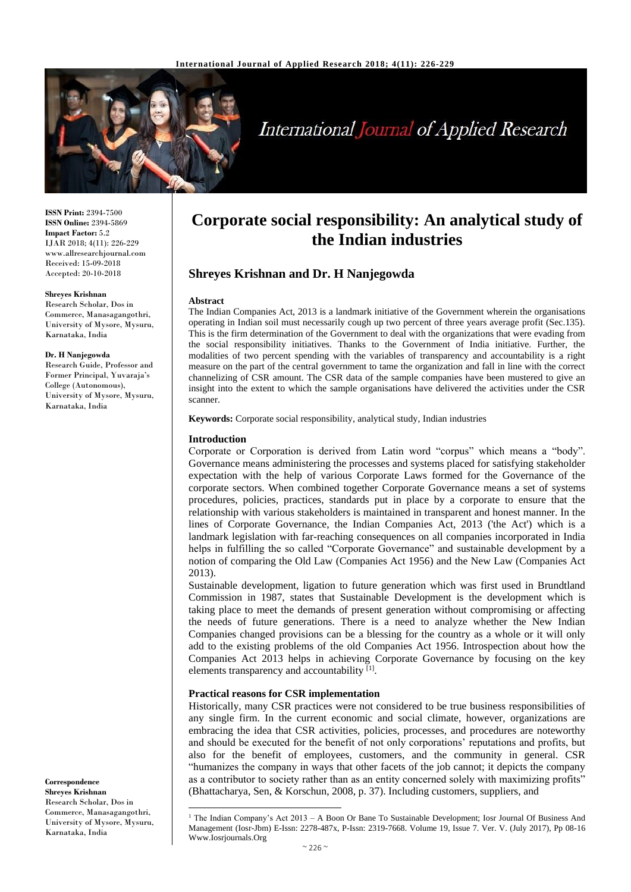

# **International Journal of Applied Research**

**ISSN Print:** 2394-7500 **ISSN Online:** 2394-5869 **Impact Factor:** 5.2 IJAR 2018; 4(11): 226-229 www.allresearchjournal.com Received: 15-09-2018 Accepted: 20-10-2018

#### **Shreyes Krishnan**

Research Scholar, Dos in Commerce, Manasagangothri, University of Mysore, Mysuru, Karnataka, India

#### **Dr. H Nanjegowda**

Research Guide, Professor and Former Principal, Yuvaraja's College (Autonomous), University of Mysore, Mysuru, Karnataka, India

**Correspondence Shreyes Krishnan** Research Scholar, Dos in Commerce, Manasagangothri, University of Mysore, Mysuru, Karnataka, India

 $\overline{\phantom{a}}$ 

# **Corporate social responsibility: An analytical study of the Indian industries**

# **Shreyes Krishnan and Dr. H Nanjegowda**

#### **Abstract**

The Indian Companies Act, 2013 is a landmark initiative of the Government wherein the organisations operating in Indian soil must necessarily cough up two percent of three years average profit (Sec.135). This is the firm determination of the Government to deal with the organizations that were evading from the social responsibility initiatives. Thanks to the Government of India initiative. Further, the modalities of two percent spending with the variables of transparency and accountability is a right measure on the part of the central government to tame the organization and fall in line with the correct channelizing of CSR amount. The CSR data of the sample companies have been mustered to give an insight into the extent to which the sample organisations have delivered the activities under the CSR scanner.

**Keywords:** Corporate social responsibility, analytical study, Indian industries

#### **Introduction**

Corporate or Corporation is derived from Latin word "corpus" which means a "body". Governance means administering the processes and systems placed for satisfying stakeholder expectation with the help of various Corporate Laws formed for the Governance of the corporate sectors. When combined together Corporate Governance means a set of systems procedures, policies, practices, standards put in place by a corporate to ensure that the relationship with various stakeholders is maintained in transparent and honest manner. In the lines of Corporate Governance, the Indian Companies Act, 2013 ('the Act') which is a landmark legislation with far-reaching consequences on all companies incorporated in India helps in fulfilling the so called "Corporate Governance" and sustainable development by a notion of comparing the Old Law (Companies Act 1956) and the New Law (Companies Act 2013).

Sustainable development, ligation to future generation which was first used in Brundtland Commission in 1987, states that Sustainable Development is the development which is taking place to meet the demands of present generation without compromising or affecting the needs of future generations. There is a need to analyze whether the New Indian Companies changed provisions can be a blessing for the country as a whole or it will only add to the existing problems of the old Companies Act 1956. Introspection about how the Companies Act 2013 helps in achieving Corporate Governance by focusing on the key elements transparency and accountability [1].

#### **Practical reasons for CSR implementation**

Historically, many CSR practices were not considered to be true business responsibilities of any single firm. In the current economic and social climate, however, organizations are embracing the idea that CSR activities, policies, processes, and procedures are noteworthy and should be executed for the benefit of not only corporations' reputations and profits, but also for the benefit of employees, customers, and the community in general. CSR "humanizes the company in ways that other facets of the job cannot; it depicts the company as a contributor to society rather than as an entity concerned solely with maximizing profits" (Bhattacharya, Sen, & Korschun, 2008, p. 37). Including customers, suppliers, and

<sup>&</sup>lt;sup>1</sup> The Indian Company's Act 2013 – A Boon Or Bane To Sustainable Development; Iosr Journal Of Business And Management (Iosr-Jbm) E-Issn: 2278-487x, P-Issn: 2319-7668. Volume 19, Issue 7. Ver. V. (July 2017), Pp 08-16 Www.Iosrjournals.Org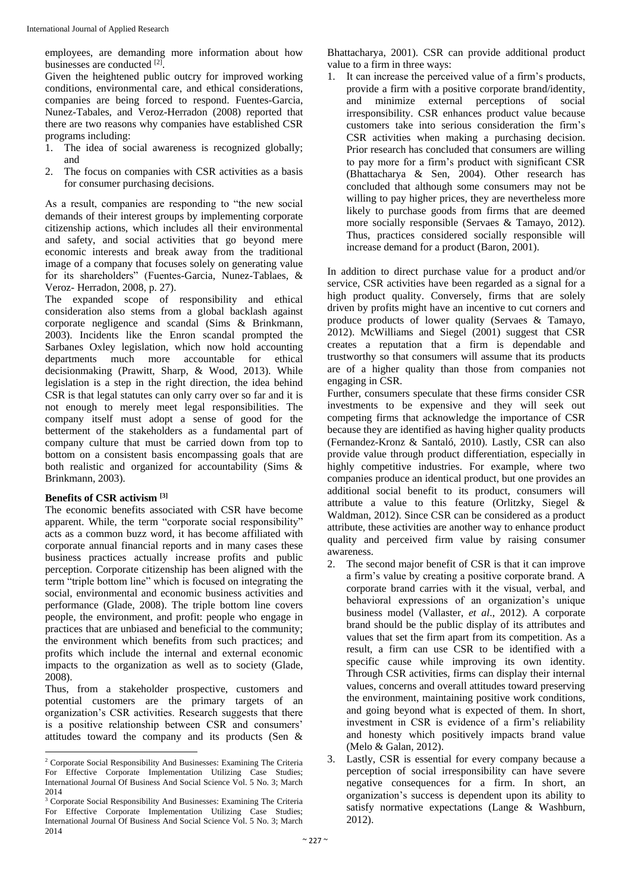employees, are demanding more information about how businesses are conducted [2].

Given the heightened public outcry for improved working conditions, environmental care, and ethical considerations, companies are being forced to respond. Fuentes-Garcia, Nunez-Tabales, and Veroz-Herradon (2008) reported that there are two reasons why companies have established CSR programs including:

- 1. The idea of social awareness is recognized globally; and
- 2. The focus on companies with CSR activities as a basis for consumer purchasing decisions.

As a result, companies are responding to "the new social demands of their interest groups by implementing corporate citizenship actions, which includes all their environmental and safety, and social activities that go beyond mere economic interests and break away from the traditional image of a company that focuses solely on generating value for its shareholders" (Fuentes-Garcia, Nunez-Tablaes, & Veroz- Herradon, 2008, p. 27).

The expanded scope of responsibility and ethical consideration also stems from a global backlash against corporate negligence and scandal (Sims & Brinkmann, 2003). Incidents like the Enron scandal prompted the Sarbanes Oxley legislation, which now hold accounting departments much more accountable for ethical decisionmaking (Prawitt, Sharp, & Wood, 2013). While legislation is a step in the right direction, the idea behind CSR is that legal statutes can only carry over so far and it is not enough to merely meet legal responsibilities. The company itself must adopt a sense of good for the betterment of the stakeholders as a fundamental part of company culture that must be carried down from top to bottom on a consistent basis encompassing goals that are both realistic and organized for accountability (Sims & Brinkmann, 2003).

# **Benefits of CSR activism [3]**

The economic benefits associated with CSR have become apparent. While, the term "corporate social responsibility" acts as a common buzz word, it has become affiliated with corporate annual financial reports and in many cases these business practices actually increase profits and public perception. Corporate citizenship has been aligned with the term "triple bottom line" which is focused on integrating the social, environmental and economic business activities and performance (Glade, 2008). The triple bottom line covers people, the environment, and profit: people who engage in practices that are unbiased and beneficial to the community; the environment which benefits from such practices; and profits which include the internal and external economic impacts to the organization as well as to society (Glade, 2008).

Thus, from a stakeholder prospective, customers and potential customers are the primary targets of an organization's CSR activities. Research suggests that there is a positive relationship between CSR and consumers' attitudes toward the company and its products (Sen & Bhattacharya, 2001). CSR can provide additional product value to a firm in three ways:

1. It can increase the perceived value of a firm's products, provide a firm with a positive corporate brand/identity, and minimize external perceptions of social irresponsibility. CSR enhances product value because customers take into serious consideration the firm's CSR activities when making a purchasing decision. Prior research has concluded that consumers are willing to pay more for a firm's product with significant CSR (Bhattacharya & Sen, 2004). Other research has concluded that although some consumers may not be willing to pay higher prices, they are nevertheless more likely to purchase goods from firms that are deemed more socially responsible (Servaes & Tamayo, 2012). Thus, practices considered socially responsible will increase demand for a product (Baron, 2001).

In addition to direct purchase value for a product and/or service, CSR activities have been regarded as a signal for a high product quality. Conversely, firms that are solely driven by profits might have an incentive to cut corners and produce products of lower quality (Servaes & Tamayo, 2012). McWilliams and Siegel (2001) suggest that CSR creates a reputation that a firm is dependable and trustworthy so that consumers will assume that its products are of a higher quality than those from companies not engaging in CSR.

Further, consumers speculate that these firms consider CSR investments to be expensive and they will seek out competing firms that acknowledge the importance of CSR because they are identified as having higher quality products (Fernandez-Kronz & Santaló, 2010). Lastly, CSR can also provide value through product differentiation, especially in highly competitive industries. For example, where two companies produce an identical product, but one provides an additional social benefit to its product, consumers will attribute a value to this feature (Orlitzky, Siegel & Waldman, 2012). Since CSR can be considered as a product attribute, these activities are another way to enhance product quality and perceived firm value by raising consumer awareness.

- 2. The second major benefit of CSR is that it can improve a firm's value by creating a positive corporate brand. A corporate brand carries with it the visual, verbal, and behavioral expressions of an organization's unique business model (Vallaster, *et al*., 2012). A corporate brand should be the public display of its attributes and values that set the firm apart from its competition. As a result, a firm can use CSR to be identified with a specific cause while improving its own identity. Through CSR activities, firms can display their internal values, concerns and overall attitudes toward preserving the environment, maintaining positive work conditions, and going beyond what is expected of them. In short, investment in CSR is evidence of a firm's reliability and honesty which positively impacts brand value (Melo & Galan, 2012).
- 3. Lastly, CSR is essential for every company because a perception of social irresponsibility can have severe negative consequences for a firm. In short, an organization's success is dependent upon its ability to satisfy normative expectations (Lange & Washburn, 2012).

 $\overline{\phantom{a}}$ <sup>2</sup> Corporate Social Responsibility And Businesses: Examining The Criteria For Effective Corporate Implementation Utilizing Case Studies; International Journal Of Business And Social Science Vol. 5 No. 3; March 2014

<sup>3</sup> Corporate Social Responsibility And Businesses: Examining The Criteria For Effective Corporate Implementation Utilizing Case Studies; International Journal Of Business And Social Science Vol. 5 No. 3; March 2014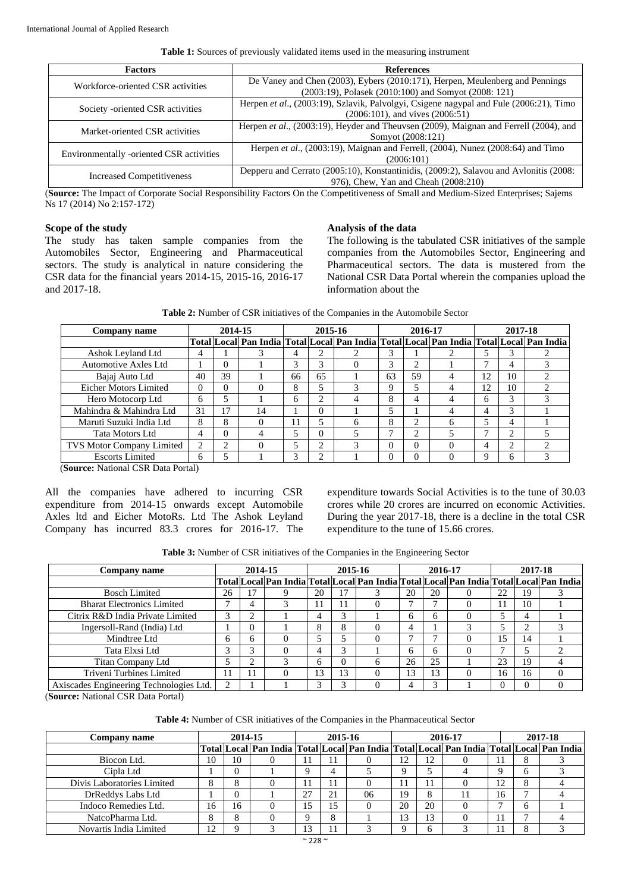| <b>Factors</b>                           | <b>References</b>                                                                      |  |  |  |  |  |
|------------------------------------------|----------------------------------------------------------------------------------------|--|--|--|--|--|
| Workforce-oriented CSR activities        | De Vaney and Chen (2003), Eybers (2010:171), Herpen, Meulenberg and Pennings           |  |  |  |  |  |
|                                          | (2003:19), Polasek (2010:100) and Somyot (2008: 121)                                   |  |  |  |  |  |
| Society -oriented CSR activities         | Herpen et al., (2003:19), Szlavik, Palvolgyi, Csigene nagypal and Fule (2006:21), Timo |  |  |  |  |  |
|                                          | $(2006:101)$ , and vives $(2006:51)$                                                   |  |  |  |  |  |
| Market-oriented CSR activities           | Herpen et al., (2003:19), Heyder and Theuvsen (2009), Maignan and Ferrell (2004), and  |  |  |  |  |  |
|                                          | Somyot (2008:121)                                                                      |  |  |  |  |  |
| Environmentally -oriented CSR activities | Herpen et al., (2003:19), Maignan and Ferrell, (2004), Nunez (2008:64) and Timo        |  |  |  |  |  |
|                                          | (2006:101)                                                                             |  |  |  |  |  |
| <b>Increased Competitiveness</b>         | Depperu and Cerrato (2005:10), Konstantinidis, (2009:2), Salavou and Avlonitis (2008:  |  |  |  |  |  |
|                                          | 976), Chew, Yan and Cheah (2008:210)                                                   |  |  |  |  |  |

(**Source:** The Impact of Corporate Social Responsibility Factors On the Competitiveness of Small and Medium-Sized Enterprises; Sajems Ns 17 (2014) No 2:157-172)

#### **Scope of the study**

The study has taken sample companies from the Automobiles Sector, Engineering and Pharmaceutical sectors. The study is analytical in nature considering the CSR data for the financial years 2014-15, 2015-16, 2016-17 and 2017-18.

#### **Analysis of the data**

The following is the tabulated CSR initiatives of the sample companies from the Automobiles Sector, Engineering and Pharmaceutical sectors. The data is mustered from the National CSR Data Portal wherein the companies upload the information about the

**Table 2:** Number of CSR initiatives of the Companies in the Automobile Sector

| Company name                     |                | 2014-15       |          |    | 2015-16        |                                                                                         |          | 2016-17  |   | 2017-18 |           |  |  |
|----------------------------------|----------------|---------------|----------|----|----------------|-----------------------------------------------------------------------------------------|----------|----------|---|---------|-----------|--|--|
|                                  |                |               |          |    |                | Total Local Pan India Total Local Pan India Total Local Pan India Total Local Pan India |          |          |   |         |           |  |  |
| Ashok Leyland Ltd                | 4              |               |          | 4  | ◠              |                                                                                         |          |          |   |         |           |  |  |
| Automotive Axles Ltd             |                | 0             |          | 3  | 3              |                                                                                         | 3        | ↑        |   |         | 4         |  |  |
| Bajaj Auto Ltd                   | 40             | 39            |          | 66 | 65             |                                                                                         | 63       | 59       | 4 | 12      | 10        |  |  |
| Eicher Motors Limited            | $\Omega$       | $\Omega$      |          | 8  |                |                                                                                         | 9        |          |   | 12      | 10        |  |  |
| Hero Motocorp Ltd                | 6              |               |          | h  | $\mathfrak{D}$ | 4                                                                                       | 8        | 4        |   | 6       | 3         |  |  |
| Mahindra & Mahindra Ltd          | 31             | 17            | 14       |    | $\Omega$       |                                                                                         |          |          |   | 4       | 3         |  |  |
| Maruti Suzuki India Ltd          | 8              | 8             | $\Omega$ | 11 |                | 6                                                                                       | 8        | ↑        | 6 | 5       | 4         |  |  |
| Tata Motors Ltd                  | 4              | $\Omega$      |          | 5  | $\Omega$       |                                                                                         |          | C        |   |         | $\bigcap$ |  |  |
| <b>TVS Motor Company Limited</b> | $\overline{2}$ | $\mathcal{D}$ |          | 5  | ↑              |                                                                                         | $\Omega$ | $\Omega$ |   | 4       | $\bigcap$ |  |  |
| <b>Escorts Limited</b>           | 6              |               |          | 3  | ↑              |                                                                                         | 0        | $\Omega$ |   | Q       | 6         |  |  |

(**Source:** National CSR Data Portal)

All the companies have adhered to incurring CSR expenditure from 2014-15 onwards except Automobile Axles ltd and Eicher MotoRs. Ltd The Ashok Leyland Company has incurred 83.3 crores for 2016-17. The expenditure towards Social Activities is to the tune of 30.03 crores while 20 crores are incurred on economic Activities. During the year 2017-18, there is a decline in the total CSR expenditure to the tune of 15.66 crores.

| Company name                            | 2014-15 |   |  | 2015-16 |              |                                                                                         |    | 2016-17      | 2017-18 |                 |          |
|-----------------------------------------|---------|---|--|---------|--------------|-----------------------------------------------------------------------------------------|----|--------------|---------|-----------------|----------|
|                                         |         |   |  |         |              | Total Local Pan India Total Local Pan India Total Local Pan India Total Local Pan India |    |              |         |                 |          |
| <b>Bosch Limited</b>                    | 26      |   |  | 20      |              |                                                                                         | 20 | 20           | 22      | 19              |          |
| <b>Bharat Electronics Limited</b>       |         | 4 |  | 11      |              |                                                                                         |    |              | 11      | 10              |          |
| Citrix R&D India Private Limited        |         |   |  |         |              |                                                                                         | 6  | <sub>0</sub> |         |                 |          |
| Ingersoll-Rand (India) Ltd              |         | 0 |  | 8       | 8            |                                                                                         | 4  |              |         |                 |          |
| Mindtree Ltd                            | 6       | 6 |  |         |              |                                                                                         |    |              | ۱5      | $\overline{14}$ |          |
| Tata Elxsi Ltd                          | ⌒       |   |  |         | ⌒            |                                                                                         | 6  | <sub>0</sub> |         |                 |          |
| Titan Company Ltd                       |         | ◠ |  | 6       | $\mathbf{U}$ | h                                                                                       | 26 | 25           | 23      | 19              |          |
| Triveni Turbines Limited                | 11      |   |  | 3       | 13           | 0                                                                                       | 13 | 13           | 16      | 16              | $\Omega$ |
| Axiscades Engineering Technologies Ltd. | っ       |   |  | 3       |              |                                                                                         |    | 3            |         |                 | $\Omega$ |

(**Source:** National CSR Data Portal)

| Company name               | 2014-15 |          |  |          | 2015-16 |    |    |    | 2016-17 |    | 2017-18 |                                                                                                               |  |
|----------------------------|---------|----------|--|----------|---------|----|----|----|---------|----|---------|---------------------------------------------------------------------------------------------------------------|--|
|                            |         |          |  |          |         |    |    |    |         |    |         | Total   Local   Pan India   Total   Local   Pan India   Total   Local   Pan India   Total   Local   Pan India |  |
| Biocon Ltd.                | 10      | 10       |  |          | 11      |    |    |    |         |    | Õ       |                                                                                                               |  |
| Cipla Ltd                  |         |          |  | $\Omega$ |         |    |    |    |         |    |         |                                                                                                               |  |
| Divis Laboratories Limited |         | 8        |  |          |         |    |    |    |         | 12 |         |                                                                                                               |  |
| DrReddys Labs Ltd          |         |          |  | 27       | 21      | 06 | 19 |    |         | 16 |         |                                                                                                               |  |
| Indoco Remedies Ltd.       | 16      | 16       |  | 15       | 15      |    | 20 | 20 |         |    | h       |                                                                                                               |  |
| NatcoPharma Ltd.           |         | 8        |  | $\Omega$ | 8       |    |    |    |         |    |         |                                                                                                               |  |
| Novartis India Limited     | $\cap$  | $\Omega$ |  | 13       |         |    |    |    |         |    |         |                                                                                                               |  |